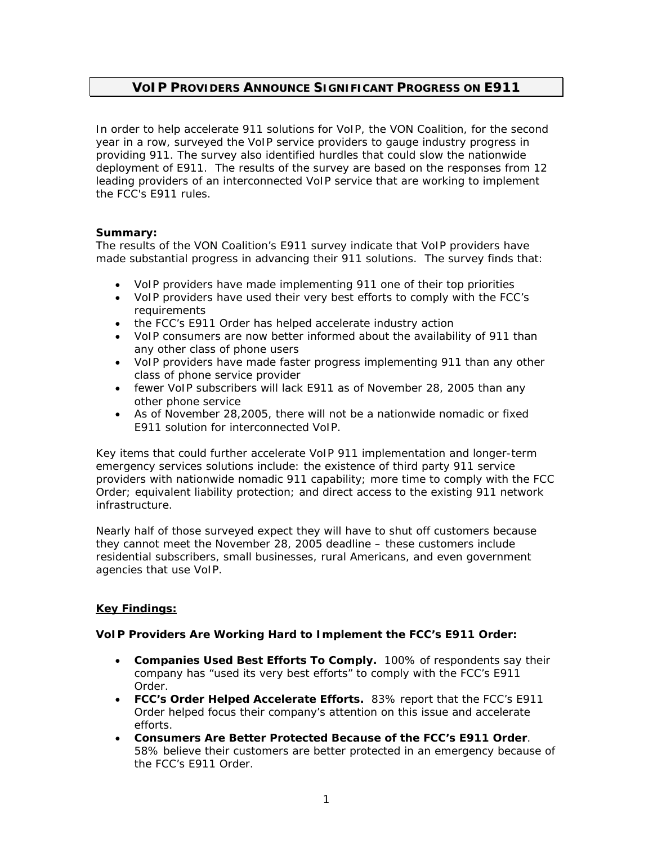# **VOIP PROVIDERS ANNOUNCE SIGNIFICANT PROGRESS ON E911**

*In order to help accelerate 911 solutions for VoIP, the VON Coalition, for the second year in a row, surveyed the VoIP service providers to gauge industry progress in providing 911. The survey also identified hurdles that could slow the nationwide deployment of E911. The results of the survey are based on the responses from 12*  leading providers of an interconnected VoIP service that are working to implement *the FCC's E911 rules.* 

### **Summary:**

The results of the VON Coalition's E911 survey indicate that VoIP providers have made substantial progress in advancing their 911 solutions. The survey finds that:

- VoIP providers have made implementing 911 one of their top priorities
- VoIP providers have used their very best efforts to comply with the FCC's requirements
- the FCC's E911 Order has helped accelerate industry action
- VoIP consumers are now better informed about the availability of 911 than any other class of phone users
- VoIP providers have made faster progress implementing 911 than any other class of phone service provider
- fewer VoIP subscribers will lack E911 as of November 28, 2005 than any other phone service
- As of November 28,2005, there will not be a nationwide nomadic or fixed E911 solution for interconnected VoIP.

Key items that could further accelerate VoIP 911 implementation and longer-term emergency services solutions include: the existence of third party 911 service providers with nationwide nomadic 911 capability; more time to comply with the FCC Order; equivalent liability protection; and direct access to the existing 911 network infrastructure.

Nearly half of those surveyed expect they will have to shut off customers because they cannot meet the November 28, 2005 deadline – these customers include residential subscribers, small businesses, rural Americans, and even government agencies that use VoIP.

## **Key Findings:**

### **VoIP Providers Are Working Hard to Implement the FCC's E911 Order:**

- *Companies Used Best Efforts To Comply.* 100% of respondents say their company has "used its very best efforts" to comply with the FCC's E911 Order.
- FCC's Order Helped Accelerate Efforts. 83% report that the FCC's E911 Order helped focus their company's attention on this issue and accelerate efforts.
- *Consumers Are Better Protected Because of the FCC's E911 Order*. 58% believe their customers are better protected in an emergency because of the FCC's E911 Order.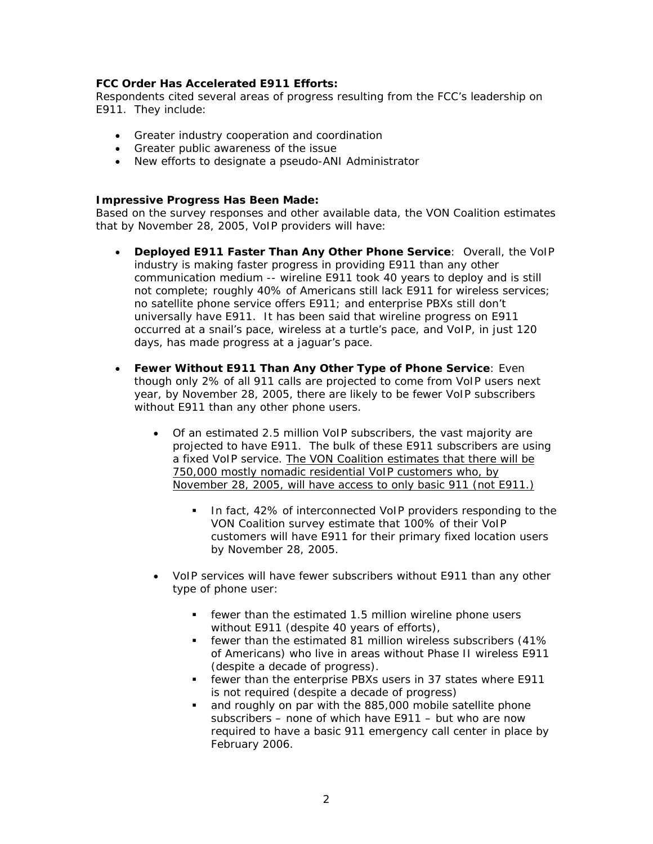### **FCC Order Has Accelerated E911 Efforts:**

Respondents cited several areas of progress resulting from the FCC's leadership on E911. They include:

- Greater industry cooperation and coordination
- Greater public awareness of the issue
- New efforts to designate a pseudo-ANI Administrator

#### **Impressive Progress Has Been Made:**

Based on the survey responses and other available data, the VON Coalition estimates that by November 28, 2005, VoIP providers will have:

- **Deployed E911 Faster Than Any Other Phone Service**: Overall, the VoIP industry is making faster progress in providing E911 than any other communication medium -- wireline E911 took 40 years to deploy and is still not complete; roughly 40% of Americans still lack E911 for wireless services; no satellite phone service offers E911; and enterprise PBXs still don't universally have E911. It has been said that wireline progress on E911 occurred at a snail's pace, wireless at a turtle's pace, and VoIP, in just 120 days, has made progress at a jaguar's pace.
- **Fewer Without E911 Than Any Other Type of Phone Service**: Even though only 2% of all 911 calls are projected to come from VoIP users next year, by November 28, 2005, there are likely to be fewer VoIP subscribers without E911 than any other phone users.
	- Of an estimated 2.5 million VoIP subscribers, the vast majority are projected to have E911. The bulk of these E911 subscribers are using a fixed VoIP service. The VON Coalition estimates that there will be 750,000 mostly nomadic residential VoIP customers who, by November 28, 2005, will have access to only basic 911 (not E911.)
		- In fact, 42% of interconnected VoIP providers responding to the VON Coalition survey estimate that 100% of their VoIP customers will have E911 for their primary fixed location users by November 28, 2005.
	- VoIP services will have fewer subscribers without E911 than any other type of phone user:
		- fewer than the estimated 1.5 million wireline phone users without E911 (despite 40 years of efforts),
		- fewer than the estimated 81 million wireless subscribers (41% of Americans) who live in areas without Phase II wireless E911 (despite a decade of progress).
		- fewer than the enterprise PBXs users in 37 states where E911 is not required (despite a decade of progress)
		- and roughly on par with the 885,000 mobile satellite phone subscribers – none of which have E911 – but who are now required to have a basic 911 emergency call center in place by February 2006.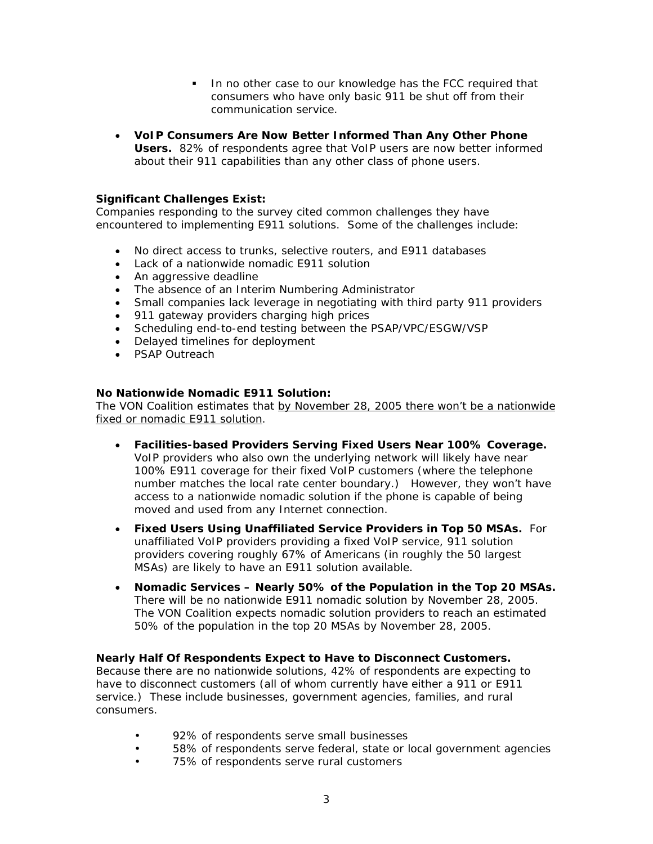- In no other case to our knowledge has the FCC required that consumers who have only basic 911 be shut off from their communication service.
- *VoIP Consumers Are Now Better Informed Than Any Other Phone Users.* 82% of respondents agree that VoIP users are now better informed about their 911 capabilities than any other class of phone users.

### **Significant Challenges Exist:**

Companies responding to the survey cited common challenges they have encountered to implementing E911 solutions. Some of the challenges include:

- No direct access to trunks, selective routers, and E911 databases
- Lack of a nationwide nomadic E911 solution
- An aggressive deadline
- The absence of an Interim Numbering Administrator
- Small companies lack leverage in negotiating with third party 911 providers
- 911 gateway providers charging high prices
- Scheduling end-to-end testing between the PSAP/VPC/ESGW/VSP
- Delayed timelines for deployment
- PSAP Outreach

### **No Nationwide Nomadic E911 Solution:**

The VON Coalition estimates that by November 28, 2005 there won't be a nationwide fixed or nomadic E911 solution.

- *Facilities-based Providers Serving Fixed Users Near 100% Coverage***.** VoIP providers who also own the underlying network will likely have near 100% E911 coverage for their fixed VoIP customers (where the telephone number matches the local rate center boundary.) However, they won't have access to a nationwide nomadic solution if the phone is capable of being moved and used from any Internet connection.
- *Fixed Users Using Unaffiliated Service Providers in Top 50 MSAs.* For unaffiliated VoIP providers providing a fixed VoIP service, 911 solution providers covering roughly 67% of Americans (in roughly the 50 largest MSAs) are likely to have an E911 solution available.
- *Nomadic Services Nearly 50% of the Population in the Top 20 MSAs.* There will be no nationwide E911 nomadic solution by November 28, 2005. The VON Coalition expects nomadic solution providers to reach an estimated 50% of the population in the top 20 MSAs by November 28, 2005.

### **Nearly Half Of Respondents Expect to Have to Disconnect Customers.**

Because there are no nationwide solutions, 42% of respondents are expecting to have to disconnect customers (all of whom currently have either a 911 or E911 service.) These include businesses, government agencies, families, and rural consumers.

- 92% of respondents serve small businesses
- 58% of respondents serve federal, state or local government agencies
- 75% of respondents serve rural customers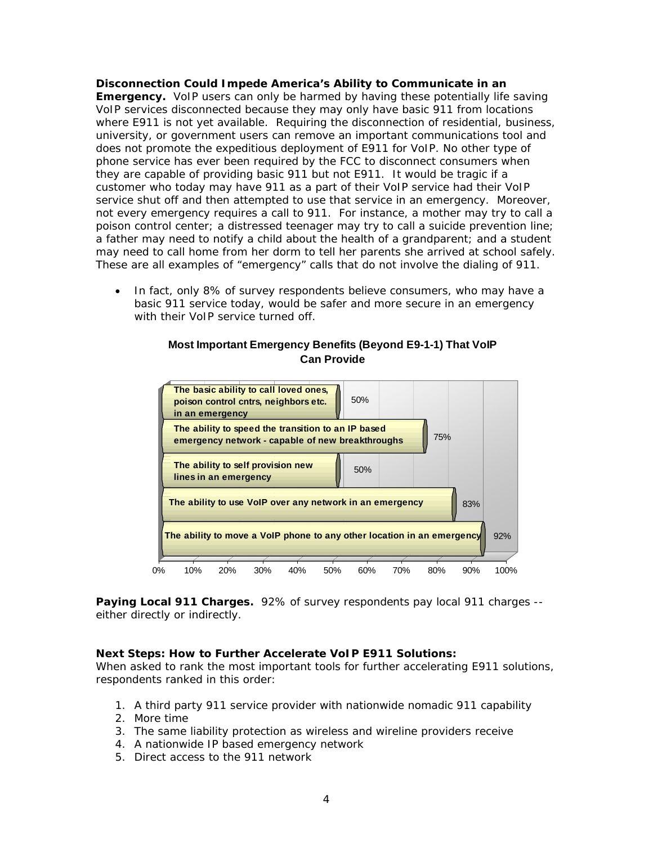#### **Disconnection Could Impede America's Ability to Communicate in an Emergency.** VoIP users can only be harmed by having these potentially life saving VoIP services disconnected because they may only have basic 911 from locations where E911 is not yet available. Requiring the disconnection of residential, business, university, or government users can remove an important communications tool and does not promote the expeditious deployment of E911 for VoIP. No other type of phone service has ever been required by the FCC to disconnect consumers when they are capable of providing basic 911 but not E911. It would be tragic if a customer who today may have 911 as a part of their VoIP service had their VoIP service shut off and then attempted to use that service in an emergency. Moreover, not every emergency requires a call to 911. For instance, a mother may try to call a poison control center; a distressed teenager may try to call a suicide prevention line; a father may need to notify a child about the health of a grandparent; and a student may need to call home from her dorm to tell her parents she arrived at school safely. These are all examples of "emergency" calls that do not involve the dialing of 911.

• In fact, only 8% of survey respondents believe consumers, who may have a basic 911 service today, would be safer and more secure in an emergency with their VoIP service turned off.



### **Most Important Emergency Benefits (Beyond E9-1-1) That VoIP Can Provide**

*Paying Local 911 Charges.* 92% of survey respondents pay local 911 charges - either directly or indirectly.

### **Next Steps: How to Further Accelerate VoIP E911 Solutions:**

When asked to rank the most important tools for further accelerating E911 solutions, respondents ranked in this order:

- 1. A third party 911 service provider with nationwide nomadic 911 capability
- 2. More time
- 3. The same liability protection as wireless and wireline providers receive
- 4. A nationwide IP based emergency network
- 5. Direct access to the 911 network